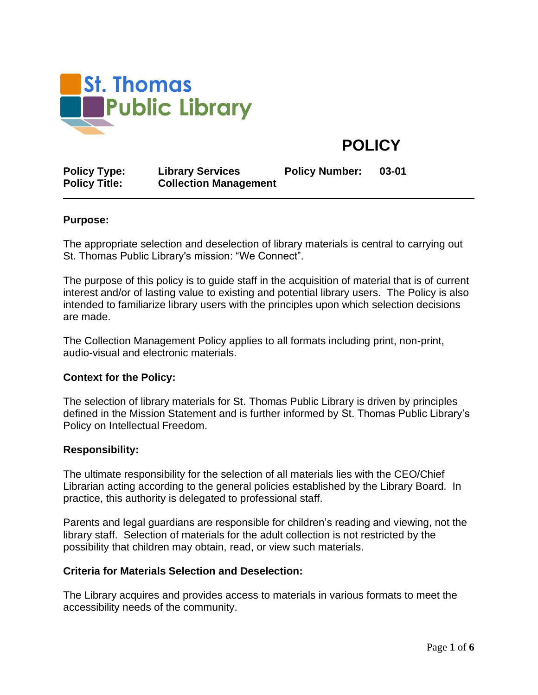

# **POLICY**

| <b>Policy Type:</b>  | <b>Library Services</b>      | <b>Policy Number:</b> | 03-01 |
|----------------------|------------------------------|-----------------------|-------|
| <b>Policy Title:</b> | <b>Collection Management</b> |                       |       |

#### **Purpose:**

The appropriate selection and deselection of library materials is central to carrying out St. Thomas Public Library's mission: "We Connect".

The purpose of this policy is to guide staff in the acquisition of material that is of current interest and/or of lasting value to existing and potential library users. The Policy is also intended to familiarize library users with the principles upon which selection decisions are made.

The Collection Management Policy applies to all formats including print, non-print, audio-visual and electronic materials.

#### **Context for the Policy:**

The selection of library materials for St. Thomas Public Library is driven by principles defined in the Mission Statement and is further informed by St. Thomas Public Library's Policy on Intellectual Freedom.

#### **Responsibility:**

The ultimate responsibility for the selection of all materials lies with the CEO/Chief Librarian acting according to the general policies established by the Library Board. In practice, this authority is delegated to professional staff.

Parents and legal guardians are responsible for children's reading and viewing, not the library staff. Selection of materials for the adult collection is not restricted by the possibility that children may obtain, read, or view such materials.

#### **Criteria for Materials Selection and Deselection:**

The Library acquires and provides access to materials in various formats to meet the accessibility needs of the community.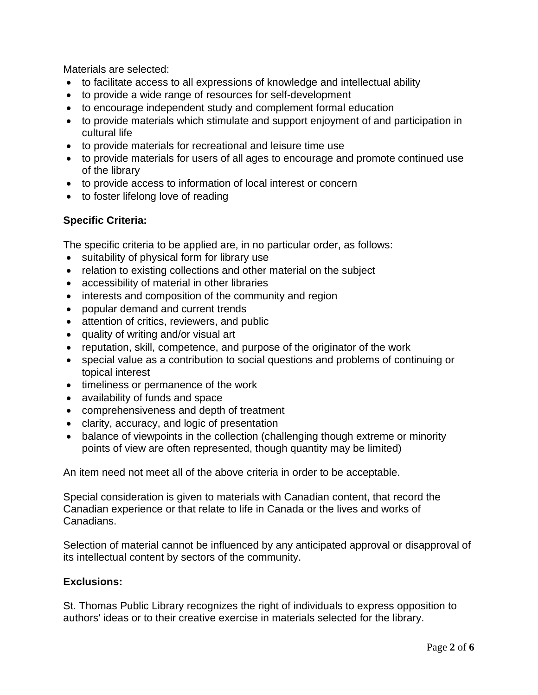Materials are selected:

- to facilitate access to all expressions of knowledge and intellectual ability
- to provide a wide range of resources for self-development
- to encourage independent study and complement formal education
- to provide materials which stimulate and support enjoyment of and participation in cultural life
- to provide materials for recreational and leisure time use
- to provide materials for users of all ages to encourage and promote continued use of the library
- to provide access to information of local interest or concern
- to foster lifelong love of reading

## **Specific Criteria:**

The specific criteria to be applied are, in no particular order, as follows:

- suitability of physical form for library use
- relation to existing collections and other material on the subject
- accessibility of material in other libraries
- interests and composition of the community and region
- popular demand and current trends
- attention of critics, reviewers, and public
- quality of writing and/or visual art
- reputation, skill, competence, and purpose of the originator of the work
- special value as a contribution to social questions and problems of continuing or topical interest
- timeliness or permanence of the work
- availability of funds and space
- comprehensiveness and depth of treatment
- clarity, accuracy, and logic of presentation
- balance of viewpoints in the collection (challenging though extreme or minority points of view are often represented, though quantity may be limited)

An item need not meet all of the above criteria in order to be acceptable.

Special consideration is given to materials with Canadian content, that record the Canadian experience or that relate to life in Canada or the lives and works of Canadians.

Selection of material cannot be influenced by any anticipated approval or disapproval of its intellectual content by sectors of the community.

## **Exclusions:**

St. Thomas Public Library recognizes the right of individuals to express opposition to authors' ideas or to their creative exercise in materials selected for the library.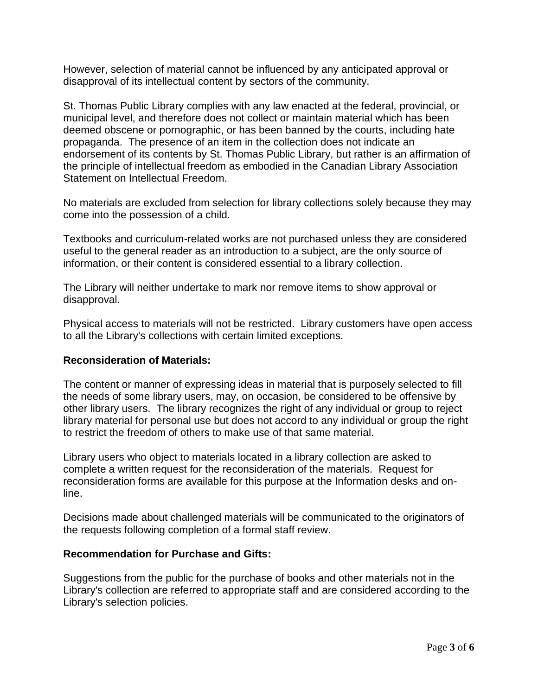However, selection of material cannot be influenced by any anticipated approval or disapproval of its intellectual content by sectors of the community.

St. Thomas Public Library complies with any law enacted at the federal, provincial, or municipal level, and therefore does not collect or maintain material which has been deemed obscene or pornographic, or has been banned by the courts, including hate propaganda. The presence of an item in the collection does not indicate an endorsement of its contents by St. Thomas Public Library, but rather is an affirmation of the principle of intellectual freedom as embodied in the Canadian Library Association Statement on Intellectual Freedom.

No materials are excluded from selection for library collections solely because they may come into the possession of a child.

Textbooks and curriculum-related works are not purchased unless they are considered useful to the general reader as an introduction to a subject, are the only source of information, or their content is considered essential to a library collection.

The Library will neither undertake to mark nor remove items to show approval or disapproval.

Physical access to materials will not be restricted. Library customers have open access to all the Library's collections with certain limited exceptions.

## **Reconsideration of Materials:**

The content or manner of expressing ideas in material that is purposely selected to fill the needs of some library users, may, on occasion, be considered to be offensive by other library users. The library recognizes the right of any individual or group to reject library material for personal use but does not accord to any individual or group the right to restrict the freedom of others to make use of that same material.

Library users who object to materials located in a library collection are asked to complete a written request for the reconsideration of the materials. Request for reconsideration forms are available for this purpose at the Information desks and online.

Decisions made about challenged materials will be communicated to the originators of the requests following completion of a formal staff review.

#### **Recommendation for Purchase and Gifts:**

Suggestions from the public for the purchase of books and other materials not in the Library's collection are referred to appropriate staff and are considered according to the Library's selection policies.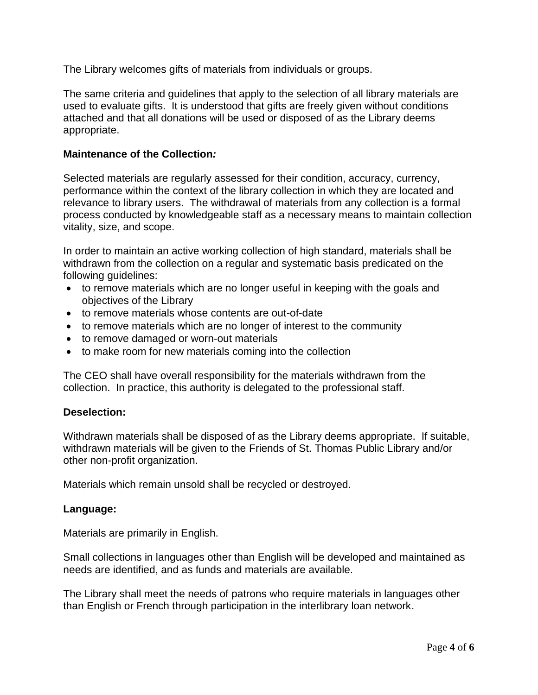The Library welcomes gifts of materials from individuals or groups.

The same criteria and guidelines that apply to the selection of all library materials are used to evaluate gifts. It is understood that gifts are freely given without conditions attached and that all donations will be used or disposed of as the Library deems appropriate.

#### **Maintenance of the Collection***:*

Selected materials are regularly assessed for their condition, accuracy, currency, performance within the context of the library collection in which they are located and relevance to library users. The withdrawal of materials from any collection is a formal process conducted by knowledgeable staff as a necessary means to maintain collection vitality, size, and scope.

In order to maintain an active working collection of high standard, materials shall be withdrawn from the collection on a regular and systematic basis predicated on the following guidelines:

- to remove materials which are no longer useful in keeping with the goals and objectives of the Library
- to remove materials whose contents are out-of-date
- to remove materials which are no longer of interest to the community
- to remove damaged or worn-out materials
- to make room for new materials coming into the collection

The CEO shall have overall responsibility for the materials withdrawn from the collection. In practice, this authority is delegated to the professional staff.

#### **Deselection:**

Withdrawn materials shall be disposed of as the Library deems appropriate. If suitable, withdrawn materials will be given to the Friends of St. Thomas Public Library and/or other non-profit organization.

Materials which remain unsold shall be recycled or destroyed.

#### **Language:**

Materials are primarily in English.

Small collections in languages other than English will be developed and maintained as needs are identified, and as funds and materials are available.

The Library shall meet the needs of patrons who require materials in languages other than English or French through participation in the interlibrary loan network.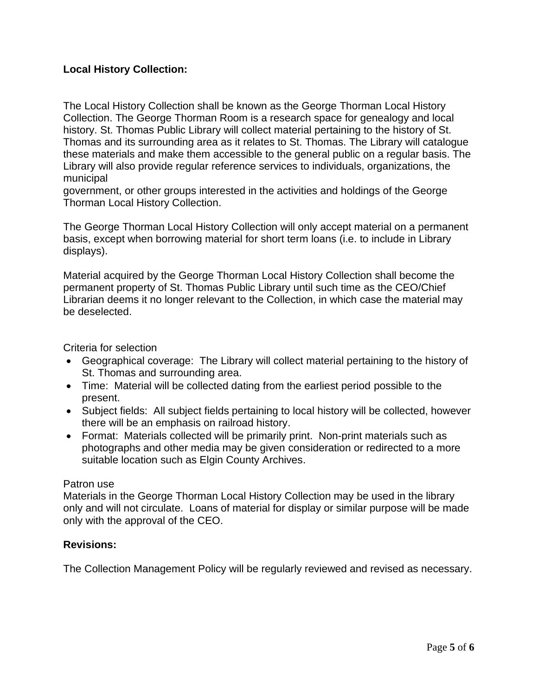## **Local History Collection:**

The Local History Collection shall be known as the George Thorman Local History Collection. The George Thorman Room is a research space for genealogy and local history. St. Thomas Public Library will collect material pertaining to the history of St. Thomas and its surrounding area as it relates to St. Thomas. The Library will catalogue these materials and make them accessible to the general public on a regular basis. The Library will also provide regular reference services to individuals, organizations, the municipal

government, or other groups interested in the activities and holdings of the George Thorman Local History Collection.

The George Thorman Local History Collection will only accept material on a permanent basis, except when borrowing material for short term loans (i.e. to include in Library displays).

Material acquired by the George Thorman Local History Collection shall become the permanent property of St. Thomas Public Library until such time as the CEO/Chief Librarian deems it no longer relevant to the Collection, in which case the material may be deselected.

Criteria for selection

- Geographical coverage: The Library will collect material pertaining to the history of St. Thomas and surrounding area.
- Time: Material will be collected dating from the earliest period possible to the present.
- Subject fields: All subject fields pertaining to local history will be collected, however there will be an emphasis on railroad history.
- Format: Materials collected will be primarily print. Non-print materials such as photographs and other media may be given consideration or redirected to a more suitable location such as Elgin County Archives.

#### Patron use

Materials in the George Thorman Local History Collection may be used in the library only and will not circulate. Loans of material for display or similar purpose will be made only with the approval of the CEO.

#### **Revisions:**

The Collection Management Policy will be regularly reviewed and revised as necessary.